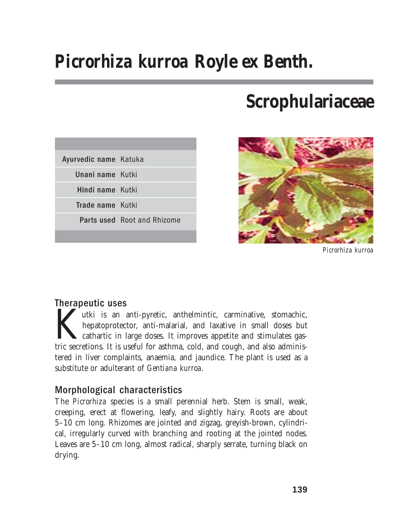# *Picrorhiza kurroa* **Royle ex Benth.**

# **Scrophulariaceae**

| Ayurvedic name Katuka |                                    |
|-----------------------|------------------------------------|
| Unani name Kutki      |                                    |
| Hindi name Kutki      |                                    |
| Trade name Kutki      |                                    |
|                       | <b>Parts used</b> Root and Rhizome |
|                       |                                    |



*Picrorhiza kurroa*

## Therapeutic uses

utki is an anti-pyretic, anthelmintic, carminative, stomachic, hepatoprotector, anti-malarial, and laxative in small doses but cathartic in large doses. It improves appetite and stimulates gastric secretions. It is useful for asthma, cold, and cough, and also administered in liver complaints, anaemia, and jaundice. The plant is used as a substitute or adulterant of *Gentiana kurroa*.

# Morphological characteristics

The *Picrorhiza* species is a small perennial herb. Stem is small, weak, creeping, erect at flowering, leafy, and slightly hairy. Roots are about 5–10 cm long. Rhizomes are jointed and zigzag, greyish-brown, cylindrical, irregularly curved with branching and rooting at the jointed nodes. Leaves are 5–10 cm long, almost radical, sharply serrate, turning black on drying.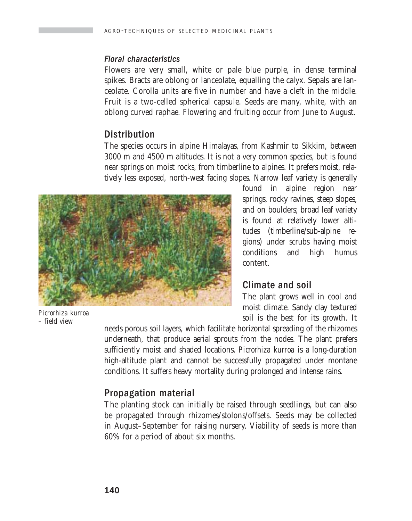#### Floral characteristics

Flowers are very small, white or pale blue purple, in dense terminal spikes. Bracts are oblong or lanceolate, equalling the calyx. Sepals are lanceolate. Corolla units are five in number and have a cleft in the middle. Fruit is a two-celled spherical capsule. Seeds are many, white, with an oblong curved raphae. Flowering and fruiting occur from June to August.

## **Distribution**

The species occurs in alpine Himalayas, from Kashmir to Sikkim, between 3000 m and 4500 m altitudes. It is not a very common species, but is found near springs on moist rocks, from timberline to alpines. It prefers moist, relatively less exposed, north-west facing slopes. Narrow leaf variety is generally



*Picrorhiza kurroa –* field view

found in alpine region near springs, rocky ravines, steep slopes, and on boulders; broad leaf variety is found at relatively lower altitudes (timberline/sub-alpine regions) under scrubs having moist conditions and high humus content.

### Climate and soil

The plant grows well in cool and moist climate. Sandy clay textured soil is the best for its growth. It

needs porous soil layers, which facilitate horizontal spreading of the rhizomes underneath, that produce aerial sprouts from the nodes. The plant prefers sufficiently moist and shaded locations. *Picrorhiza kurroa* is a long-duration high-altitude plant and cannot be successfully propagated under montane conditions. It suffers heavy mortality during prolonged and intense rains.

# Propagation material

The planting stock can initially be raised through seedlings, but can also be propagated through rhizomes/stolons/offsets. Seeds may be collected in August–September for raising nursery. Viability of seeds is more than 60% for a period of about six months.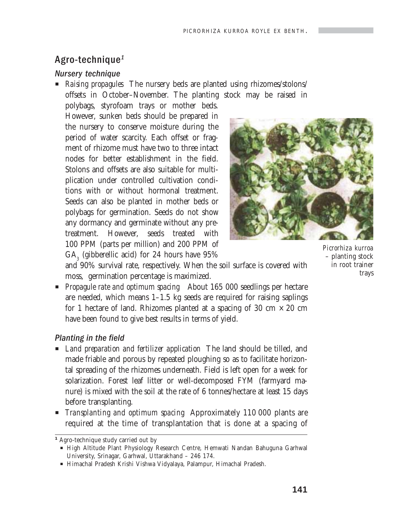## Agro-technique<sup>1</sup>

#### Nursery technique

P *Raising propagules* The nursery beds are planted using rhizomes/stolons/ offsets in October–November. The planting stock may be raised in

polybags, styrofoam trays or mother beds. However, sunken beds should be prepared in the nursery to conserve moisture during the period of water scarcity. Each offset or fragment of rhizome must have two to three intact nodes for better establishment in the field. Stolons and offsets are also suitable for multiplication under controlled cultivation conditions with or without hormonal treatment. Seeds can also be planted in mother beds or polybags for germination. Seeds do not show any dormancy and germinate without any pretreatment. However, seeds treated with 100 PPM (parts per million) and 200 PPM of  $\text{GA}_3$  (gibberellic acid) for 24 hours have  $95\%$ 



*Picrorhiza kurroa* – planting stock in root trainer trays

and 90% survival rate, respectively. When the soil surface is covered with moss, germination percentage is maximized.

**Propagule rate and optimum spacing** About 165 000 seedlings per hectare are needed, which means 1–1.5 kg seeds are required for raising saplings for 1 hectare of land. Rhizomes planted at a spacing of 30 cm  $\times$  20 cm have been found to give best results in terms of yield.

#### Planting in the field

- **EXTERN** I Land preparation and fertilizer application The land should be tilled, and made friable and porous by repeated ploughing so as to facilitate horizontal spreading of the rhizomes underneath. Field is left open for a week for solarization. Forest leaf litter or well-decomposed FYM (farmyard manure) is mixed with the soil at the rate of 6 tonnes/hectare at least 15 days before transplanting.
- P *Transplanting and optimum spacing* Approximately 110 000 plants are required at the time of transplantation that is done at a spacing of

*<sup>1</sup>* Agro-technique study carried out by

P High Altitude Plant Physiology Research Centre, Hemwati Nandan Bahuguna Garhwal University, Srinagar, Garhwal, Uttarakhand – 246 174.

P Himachal Pradesh Krishi Vishwa Vidyalaya, Palampur, Himachal Pradesh.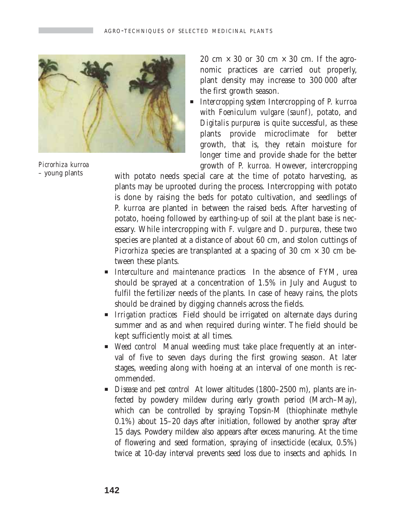

*Picrorhiza kurroa* – young plants

20 cm  $\times$  30 or 30 cm  $\times$  30 cm. If the agronomic practices are carried out properly, plant density may increase to 300 000 after the first growth season.

P *Intercropping system* Intercropping of *P. kurroa* with *Foeniculum vulgare (saunf)*, potato, and *Digitalis purpurea* is quite successful, as these plants provide microclimate for better growth, that is, they retain moisture for longer time and provide shade for the better growth of *P. kurroa.* However, intercropping

with potato needs special care at the time of potato harvesting, as plants may be uprooted during the process. Intercropping with potato is done by raising the beds for potato cultivation, and seedlings of *P. kurroa* are planted in between the raised beds. After harvesting of potato, hoeing followed by earthing-up of soil at the plant base is necessary. While intercropping with *F. vulgare* and *D. purpurea*, these two species are planted at a distance of about 60 cm, and stolon cuttings of *Picrorhiza* species are transplanted at a spacing of 30 cm  $\times$  30 cm between these plants.

- P *Interculture and maintenance practices* In the absence of FYM, urea should be sprayed at a concentration of 1.5% in July and August to fulfil the fertilizer needs of the plants. In case of heavy rains, the plots should be drained by digging channels across the fields.
- P *Irrigation practices* Field should be irrigated on alternate days during summer and as and when required during winter. The field should be kept sufficiently moist at all times.
- P *Weed control* Manual weeding must take place frequently at an interval of five to seven days during the first growing season. At later stages, weeding along with hoeing at an interval of one month is recommended.
- **P** *Disease and pest control* At lower altitudes (1800–2500 m), plants are infected by powdery mildew during early growth period (March–May), which can be controlled by spraying Topsin-M (thiophinate methyle 0.1%) about 15–20 days after initiation, followed by another spray after 15 days. Powdery mildew also appears after excess manuring. At the time of flowering and seed formation, spraying of insecticide (ecalux, 0.5%) twice at 10-day interval prevents seed loss due to insects and aphids. In